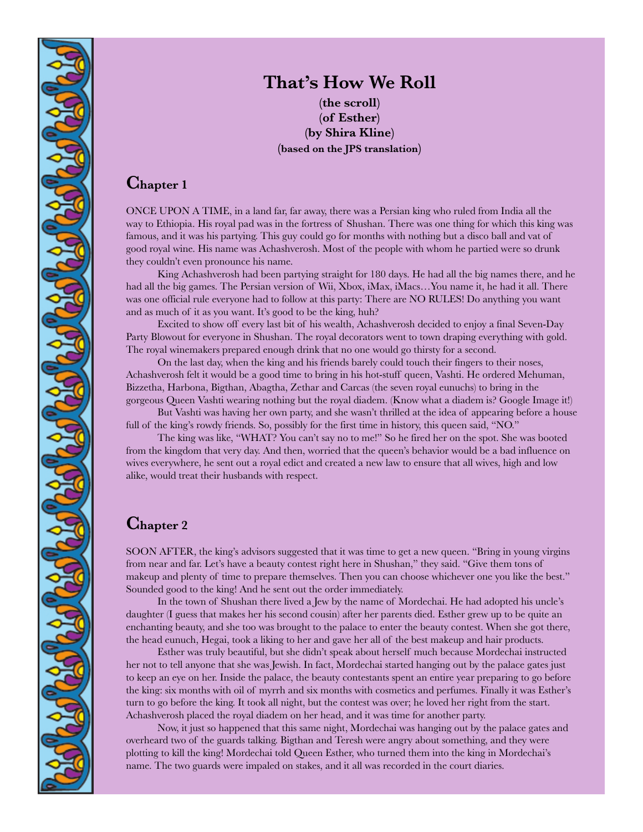

# **That's How We Roll**

**(the scroll) (of Esther) (by Shira Kline) (based on the JPS translation)**

#### **Chapter <sup>1</sup>**

ONCE UPON A TIME, in a land far, far away, there was a Persian king who ruled from India all the way to Ethiopia. His royal pad was in the fortress of Shushan. There was one thing for which this king was famous, and it was his partying. This guy could go for months with nothing but a disco ball and vat of good royal wine. His name was Achashverosh. Most of the people with whom he partied were so drunk they couldn't even pronounce his name.

King Achashverosh had been partying straight for 180 days. He had all the big names there, and he had all the big games. The Persian version of Wii, Xbox, iMax, iMacs…You name it, he had it all. There was one official rule everyone had to follow at this party: There are NO RULES! Do anything you want and as much of it as you want. It's good to be the king, huh?

Excited to show off every last bit of his wealth, Achashverosh decided to enjoy a final Seven-Day Party Blowout for everyone in Shushan. The royal decorators went to town draping everything with gold. The royal winemakers prepared enough drink that no one would go thirsty for a second.

On the last day, when the king and his friends barely could touch their fingers to their noses, Achashverosh felt it would be a good time to bring in his hot-stuff queen, Vashti. He ordered Mehuman, Bizzetha, Harbona, Bigthan, Abagtha, Zethar and Carcas (the seven royal eunuchs) to bring in the gorgeous Queen Vashti wearing nothing but the royal diadem. (Know what a diadem is? Google Image it!)

But Vashti was having her own party, and she wasn't thrilled at the idea of appearing before a house full of the king's rowdy friends. So, possibly for the first time in history, this queen said, "NO."

The king was like, "WHAT? You can't say no to me!" So he fired her on the spot. She was booted from the kingdom that very day. And then, worried that the queen's behavior would be a bad influence on wives everywhere, he sent out a royal edict and created a new law to ensure that all wives, high and low alike, would treat their husbands with respect.

#### **Chapter <sup>2</sup>**

SOON AFTER, the king's advisors suggested that it was time to get a new queen. "Bring in young virgins from near and far. Let's have a beauty contest right here in Shushan," they said. "Give them tons of makeup and plenty of time to prepare themselves. Then you can choose whichever one you like the best." Sounded good to the king! And he sent out the order immediately.

In the town of Shushan there lived a Jew by the name of Mordechai. He had adopted his uncle's daughter (I guess that makes her his second cousin) after her parents died. Esther grew up to be quite an enchanting beauty, and she too was brought to the palace to enter the beauty contest. When she got there, the head eunuch, Hegai, took a liking to her and gave her all of the best makeup and hair products.

Esther was truly beautiful, but she didn't speak about herself much because Mordechai instructed her not to tell anyone that she was Jewish. In fact, Mordechai started hanging out by the palace gates just to keep an eye on her. Inside the palace, the beauty contestants spent an entire year preparing to go before the king: six months with oil of myrrh and six months with cosmetics and perfumes. Finally it was Esther's turn to go before the king. It took all night, but the contest was over; he loved her right from the start. Achashverosh placed the royal diadem on her head, and it was time for another party.

Now, it just so happened that this same night, Mordechai was hanging out by the palace gates and overheard two of the guards talking. Bigthan and Teresh were angry about something, and they were plotting to kill the king! Mordechai told Queen Esther, who turned them into the king in Mordechai's name. The two guards were impaled on stakes, and it all was recorded in the court diaries.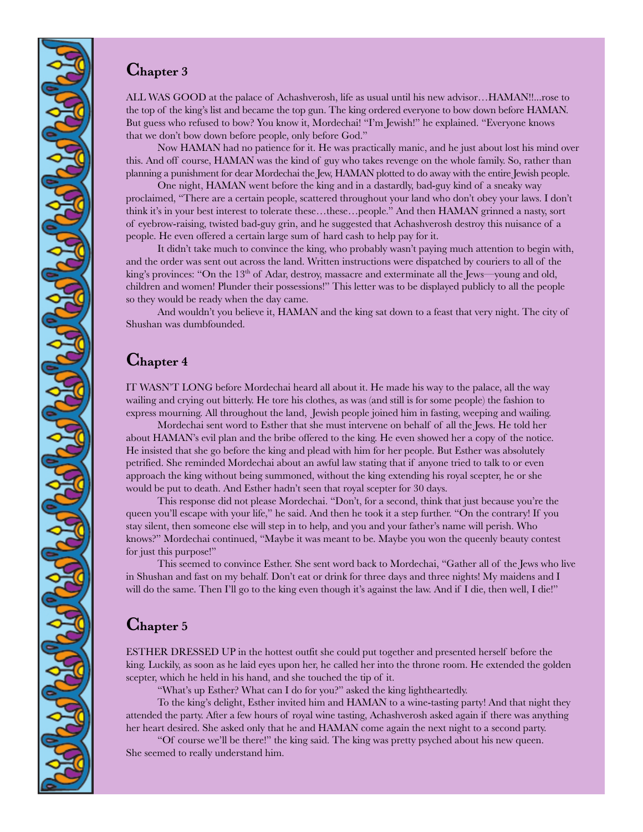### **Chapter <sup>3</sup>**

 $\mathbf{G}^{\mathbf{v}}$ 

 $2902989898962$ 

 $2957295$ 

29 AVA PAYARY

ALL WAS GOOD at the palace of Achashverosh, life as usual until his new advisor…HAMAN!!...rose to the top of the king's list and became the top gun. The king ordered everyone to bow down before HAMAN. But guess who refused to bow? You know it, Mordechai! "I'm Jewish!" he explained. "Everyone knows that we don't bow down before people, only before God."

Now HAMAN had no patience for it. He was practically manic, and he just about lost his mind over this. And off course, HAMAN was the kind of guy who takes revenge on the whole family. So, rather than planning a punishment for dear Mordechai the Jew, HAMAN plotted to do away with the entire Jewish people.

One night, HAMAN went before the king and in a dastardly, bad-guy kind of a sneaky way proclaimed, "There are a certain people, scattered throughout your land who don't obey your laws. I don't think it's in your best interest to tolerate these…these…people." And then HAMAN grinned a nasty, sort of eyebrow-raising, twisted bad-guy grin, and he suggested that Achashverosh destroy this nuisance of a people. He even offered a certain large sum of hard cash to help pay for it.

It didn't take much to convince the king, who probably wasn't paying much attention to begin with, and the order was sent out across the land. Written instructions were dispatched by couriers to all of the king's provinces: "On the  $13<sup>th</sup>$  of Adar, destroy, massacre and exterminate all the Jews—young and old, children and women! Plunder their possessions!" This letter was to be displayed publicly to all the people so they would be ready when the day came.

And wouldn't you believe it, HAMAN and the king sat down to a feast that very night. The city of Shushan was dumbfounded.

#### **Chapter <sup>4</sup>**

IT WASN'T LONG before Mordechai heard all about it. He made his way to the palace, all the way wailing and crying out bitterly. He tore his clothes, as was (and still is for some people) the fashion to express mourning. All throughout the land, Jewish people joined him in fasting, weeping and wailing.

Mordechai sent word to Esther that she must intervene on behalf of all the Jews. He told her about HAMAN's evil plan and the bribe offered to the king. He even showed her a copy of the notice. He insisted that she go before the king and plead with him for her people. But Esther was absolutely petrified. She reminded Mordechai about an awful law stating that if anyone tried to talk to or even approach the king without being summoned, without the king extending his royal scepter, he or she would be put to death. And Esther hadn't seen that royal scepter for 30 days.

This response did not please Mordechai. "Don't, for a second, think that just because you're the queen you'll escape with your life," he said. And then he took it a step further. "On the contrary! If you stay silent, then someone else will step in to help, and you and your father's name will perish. Who knows?" Mordechai continued, "Maybe it was meant to be. Maybe you won the queenly beauty contest for just this purpose!"

This seemed to convince Esther. She sent word back to Mordechai, "Gather all of the Jews who live in Shushan and fast on my behalf. Don't eat or drink for three days and three nights! My maidens and I will do the same. Then I'll go to the king even though it's against the law. And if I die, then well, I die!"

## **Chapter <sup>5</sup>**

ESTHER DRESSED UP in the hottest outfit she could put together and presented herself before the king. Luckily, as soon as he laid eyes upon her, he called her into the throne room. He extended the golden scepter, which he held in his hand, and she touched the tip of it.

"What's up Esther? What can I do for you?" asked the king lightheartedly.

To the king's delight, Esther invited him and HAMAN to a wine-tasting party! And that night they attended the party. After a few hours of royal wine tasting, Achashverosh asked again if there was anything her heart desired. She asked only that he and HAMAN come again the next night to a second party.

"Of course we'll be there!" the king said. The king was pretty psyched about his new queen. She seemed to really understand him.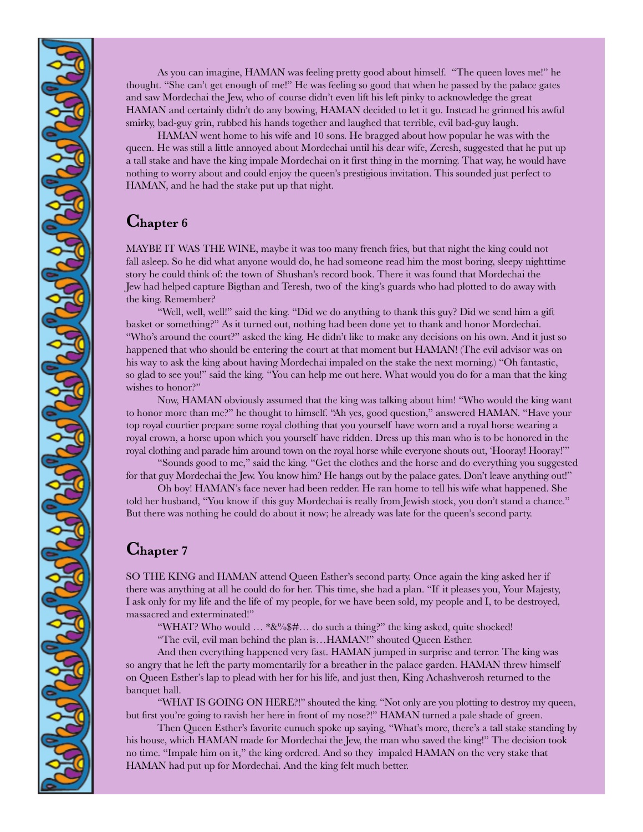As you can imagine, HAMAN was feeling pretty good about himself. "The queen loves me!" he thought. "She can't get enough of me!" He was feeling so good that when he passed by the palace gates and saw Mordechai the Jew, who of course didn't even lift his left pinky to acknowledge the great HAMAN and certainly didn't do any bowing, HAMAN decided to let it go. Instead he grinned his awful smirky, bad-guy grin, rubbed his hands together and laughed that terrible, evil bad-guy laugh.

HAMAN went home to his wife and 10 sons. He bragged about how popular he was with the queen. He was still a little annoyed about Mordechai until his dear wife, Zeresh, suggested that he put up a tall stake and have the king impale Mordechai on it first thing in the morning. That way, he would have nothing to worry about and could enjoy the queen's prestigious invitation. This sounded just perfect to HAMAN, and he had the stake put up that night.

### **Chapter <sup>6</sup>**

MAYBE IT WAS THE WINE, maybe it was too many french fries, but that night the king could not fall asleep. So he did what anyone would do, he had someone read him the most boring, sleepy nighttime story he could think of: the town of Shushan's record book. There it was found that Mordechai the Jew had helped capture Bigthan and Teresh, two of the king's guards who had plotted to do away with the king. Remember?

"Well, well, well!" said the king. "Did we do anything to thank this guy? Did we send him a gift basket or something?" As it turned out, nothing had been done yet to thank and honor Mordechai. "Who's around the court?" asked the king. He didn't like to make any decisions on his own. And it just so happened that who should be entering the court at that moment but HAMAN! (The evil advisor was on his way to ask the king about having Mordechai impaled on the stake the next morning.) "Oh fantastic, so glad to see you!" said the king. "You can help me out here. What would you do for a man that the king wishes to honor?"

Now, HAMAN obviously assumed that the king was talking about him! "Who would the king want to honor more than me?" he thought to himself. "Ah yes, good question," answered HAMAN. "Have your top royal courtier prepare some royal clothing that you yourself have worn and a royal horse wearing a royal crown, a horse upon which you yourself have ridden. Dress up this man who is to be honored in the royal clothing and parade him around town on the royal horse while everyone shouts out, 'Hooray! Hooray!'"

"Sounds good to me," said the king. "Get the clothes and the horse and do everything you suggested for that guy Mordechai the Jew. You know him? He hangs out by the palace gates. Don't leave anything out!"

Oh boy! HAMAN's face never had been redder. He ran home to tell his wife what happened. She told her husband, "You know if this guy Mordechai is really from Jewish stock, you don't stand a chance." But there was nothing he could do about it now; he already was late for the queen's second party.

#### **Chapter <sup>7</sup>**

SO THE KING and HAMAN attend Queen Esther's second party. Once again the king asked her if there was anything at all he could do for her. This time, she had a plan. "If it pleases you, Your Majesty, I ask only for my life and the life of my people, for we have been sold, my people and I, to be destroyed, massacred and exterminated!"

"WHAT? Who would ... \*&%\$#... do such a thing?" the king asked, quite shocked!

"The evil, evil man behind the plan is…HAMAN!" shouted Queen Esther.

And then everything happened very fast. HAMAN jumped in surprise and terror. The king was so angry that he left the party momentarily for a breather in the palace garden. HAMAN threw himself on Queen Esther's lap to plead with her for his life, and just then, King Achashverosh returned to the banquet hall.

"WHAT IS GOING ON HERE?!" shouted the king. "Not only are you plotting to destroy my queen, but first you're going to ravish her here in front of my nose?!" HAMAN turned a pale shade of green.

Then Queen Esther's favorite eunuch spoke up saying, "What's more, there's a tall stake standing by his house, which HAMAN made for Mordechai the Jew, the man who saved the king!" The decision took no time. "Impale him on it," the king ordered. And so they impaled HAMAN on the very stake that HAMAN had put up for Mordechai. And the king felt much better.